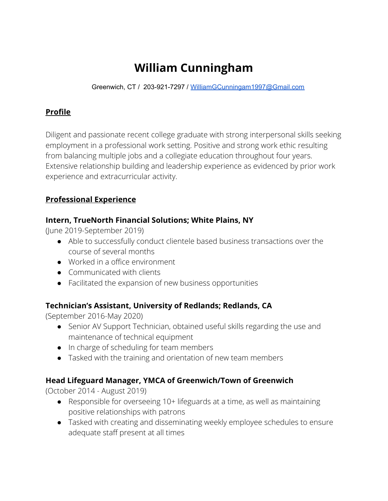# **William Cunningham**

Greenwich, CT / 203-921-7297 / [WilliamGCunningam1997@Gmail.com](mailto:WilliamGCunningam1997@Gmail.com)

#### **Profile**

Diligent and passionate recent college graduate with strong interpersonal skills seeking employment in a professional work setting. Positive and strong work ethic resulting from balancing multiple jobs and a collegiate education throughout four years. Extensive relationship building and leadership experience as evidenced by prior work experience and extracurricular activity.

# **Professional Experience**

#### **Intern, TrueNorth Financial Solutions; White Plains, NY**

(June 2019-September 2019)

- Able to successfully conduct clientele based business transactions over the course of several months
- Worked in a office environment
- Communicated with clients
- Facilitated the expansion of new business opportunities

#### **Technician's Assistant, University of Redlands; Redlands, CA**

(September 2016-May 2020)

- Senior AV Support Technician, obtained useful skills regarding the use and maintenance of technical equipment
- In charge of scheduling for team members
- Tasked with the training and orientation of new team members

# **Head Lifeguard Manager, YMCA of Greenwich/Town of Greenwich**

(October 2014 - August 2019)

- Responsible for overseeing 10+ lifeguards at a time, as well as maintaining positive relationships with patrons
- Tasked with creating and disseminating weekly employee schedules to ensure adequate staff present at all times